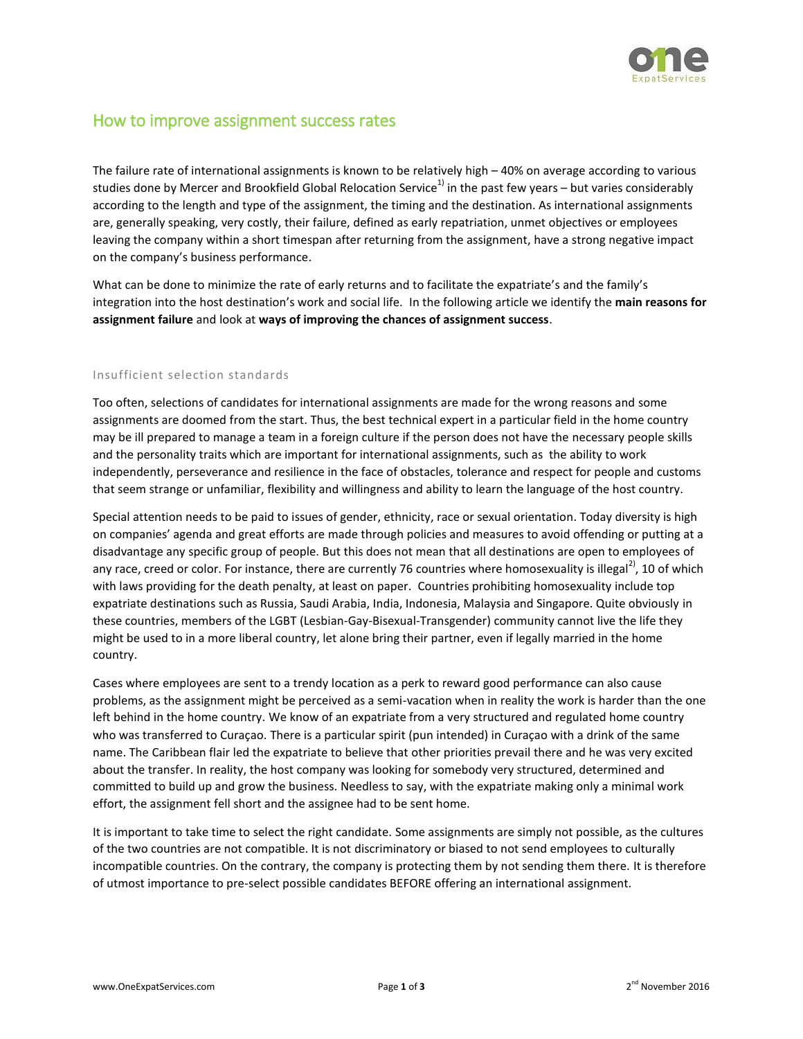

# How to improve assignment success rates

The failure rate of international assignments is known to be relatively high – 40% on average according to various studies done by Mercer and Brookfield Global Relocation Service<sup>1)</sup> in the past few years – but varies considerably according to the length and type of the assignment, the timing and the destination. As international assignments are, generally speaking, very costly, their failure, defined as early repatriation, unmet objectives or employees leaving the company within a short timespan after returning from the assignment, have a strong negative impact on the company's business performance.

What can be done to minimize the rate of early returns and to facilitate the expatriate's and the family's integration into the host destination's work and social life. In the following article we identify the **main reasons for assignment failure** and look at **ways of improving the chances of assignment success**.

## Insufficient selection standards

Too often, selections of candidates for international assignments are made for the wrong reasons and some assignments are doomed from the start. Thus, the best technical expert in a particular field in the home country may be ill prepared to manage a team in a foreign culture if the person does not have the necessary people skills and the personality traits which are important for international assignments, such as the ability to work independently, perseverance and resilience in the face of obstacles, tolerance and respect for people and customs that seem strange or unfamiliar, flexibility and willingness and ability to learn the language of the host country.

Special attention needs to be paid to issues of gender, ethnicity, race or sexual orientation. Today diversity is high on companies' agenda and great efforts are made through policies and measures to avoid offending or putting at a disadvantage any specific group of people. But this does not mean that all destinations are open to employees of any race, creed or color. For instance, there are currently 76 countries where homosexuality is illegal<sup>2)</sup>, 10 of which with laws providing for the death penalty, at least on paper. Countries prohibiting homosexuality include top expatriate destinations such as Russia, Saudi Arabia, India, Indonesia, Malaysia and Singapore. Quite obviously in these countries, members of the LGBT (Lesbian-Gay-Bisexual-Transgender) community cannot live the life they might be used to in a more liberal country, let alone bring their partner, even if legally married in the home country.

Cases where employees are sent to a trendy location as a perk to reward good performance can also cause problems, as the assignment might be perceived as a semi-vacation when in reality the work is harder than the one left behind in the home country. We know of an expatriate from a very structured and regulated home country who was transferred to Curaçao. There is a particular spirit (pun intended) in Curaçao with a drink of the same name. The Caribbean flair led the expatriate to believe that other priorities prevail there and he was very excited about the transfer. In reality, the host company was looking for somebody very structured, determined and committed to build up and grow the business. Needless to say, with the expatriate making only a minimal work effort, the assignment fell short and the assignee had to be sent home.

It is important to take time to select the right candidate. Some assignments are simply not possible, as the cultures of the two countries are not compatible. It is not discriminatory or biased to not send employees to culturally incompatible countries. On the contrary, the company is protecting them by not sending them there. It is therefore of utmost importance to pre-select possible candidates BEFORE offering an international assignment.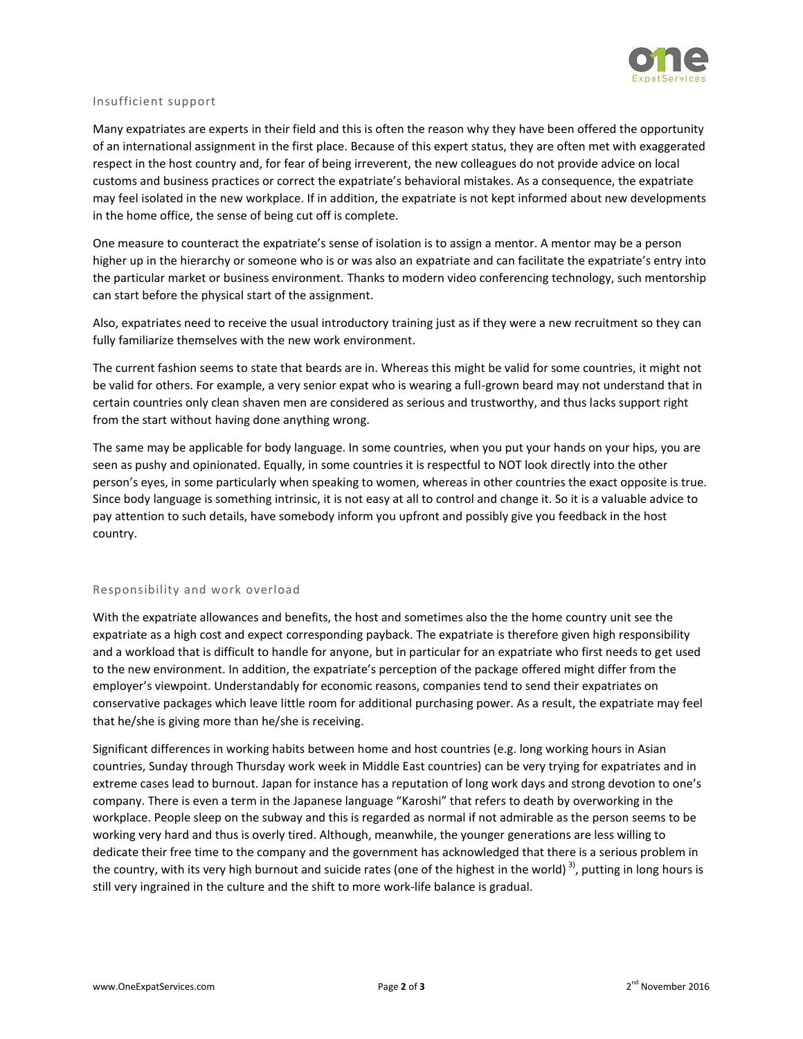

#### Insufficient support

Many expatriates are experts in their field and this is often the reason why they have been offered the opportunity of an international assignment in the first place. Because of this expert status, they are often met with exaggerated respect in the host country and, for fear of being irreverent, the new colleagues do not provide advice on local customs and business practices or correct the expatriate's behavioral mistakes. As a consequence, the expatriate may feel isolated in the new workplace. If in addition, the expatriate is not kept informed about new developments in the home office, the sense of being cut off is complete.

One measure to counteract the expatriate's sense of isolation is to assign a mentor. A mentor may be a person higher up in the hierarchy or someone who is or was also an expatriate and can facilitate the expatriate's entry into the particular market or business environment. Thanks to modern video conferencing technology, such mentorship can start before the physical start of the assignment.

Also, expatriates need to receive the usual introductory training just as if they were a new recruitment so they can fully familiarize themselves with the new work environment.

The current fashion seems to state that beards are in. Whereas this might be valid for some countries, it might not be valid for others. For example, a very senior expat who is wearing a full-grown beard may not understand that in certain countries only clean shaven men are considered as serious and trustworthy, and thus lacks support right from the start without having done anything wrong.

The same may be applicable for body language. In some countries, when you put your hands on your hips, you are seen as pushy and opinionated. Equally, in some countries it is respectful to NOT look directly into the other person's eyes, in some particularly when speaking to women, whereas in other countries the exact opposite is true. Since body language is something intrinsic, it is not easy at all to control and change it. So it is a valuable advice to pay attention to such details, have somebody inform you upfront and possibly give you feedback in the host country.

#### Responsibility and work overload

With the expatriate allowances and benefits, the host and sometimes also the the home country unit see the expatriate as a high cost and expect corresponding payback. The expatriate is therefore given high responsibility and a workload that is difficult to handle for anyone, but in particular for an expatriate who first needs to get used to the new environment. In addition, the expatriate's perception of the package offered might differ from the employer's viewpoint. Understandably for economic reasons, companies tend to send their expatriates on conservative packages which leave little room for additional purchasing power. As a result, the expatriate may feel that he/she is giving more than he/she is receiving.

Significant differences in working habits between home and host countries (e.g. long working hours in Asian countries, Sunday through Thursday work week in Middle East countries) can be very trying for expatriates and in extreme cases lead to burnout. Japan for instance has a reputation of long work days and strong devotion to one's company. There is even a term in the Japanese language "Karoshi" that refers to death by overworking in the workplace. People sleep on the subway and this is regarded as normal if not admirable as the person seems to be working very hard and thus is overly tired. Although, meanwhile, the younger generations are less willing to dedicate their free time to the company and the government has acknowledged that there is a serious problem in the country, with its very high burnout and suicide rates (one of the highest in the world) <sup>3)</sup>, putting in long hours is still very ingrained in the culture and the shift to more work-life balance is gradual.